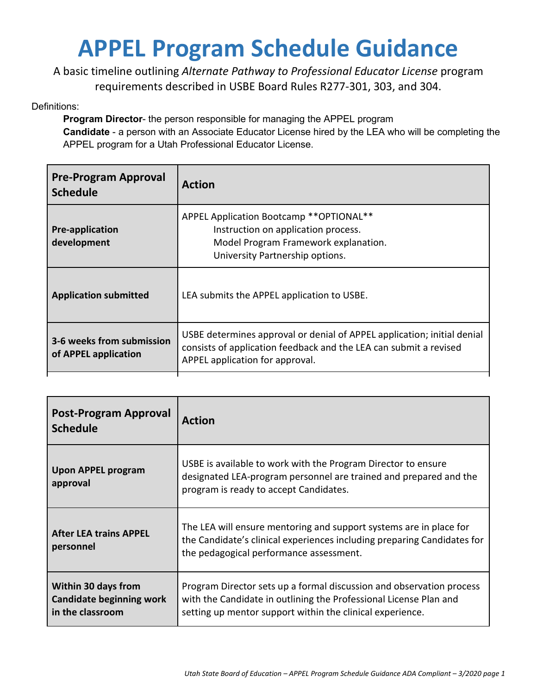## **APPEL Program Schedule Guidance**

A basic timeline outlining *Alternate Pathway to Professional Educator License* program requirements described in USBE Board Rules R277-301, 303, and 304.

Definitions:

**Program Director**- the person responsible for managing the APPEL program **Candidate** - a person with an Associate Educator License hired by the LEA who will be completing the

APPEL program for a Utah Professional Educator License.

| <b>Pre-Program Approval</b><br><b>Schedule</b>    | <b>Action</b>                                                                                                                                                                   |
|---------------------------------------------------|---------------------------------------------------------------------------------------------------------------------------------------------------------------------------------|
| <b>Pre-application</b><br>development             | APPEL Application Bootcamp ** OPTIONAL **<br>Instruction on application process.<br>Model Program Framework explanation.<br>University Partnership options.                     |
| <b>Application submitted</b>                      | LEA submits the APPEL application to USBE.                                                                                                                                      |
| 3-6 weeks from submission<br>of APPEL application | USBE determines approval or denial of APPEL application; initial denial<br>consists of application feedback and the LEA can submit a revised<br>APPEL application for approval. |

| <b>Post-Program Approval</b><br><b>Schedule</b>                            | <b>Action</b>                                                                                                                                                                                          |
|----------------------------------------------------------------------------|--------------------------------------------------------------------------------------------------------------------------------------------------------------------------------------------------------|
| <b>Upon APPEL program</b><br>approval                                      | USBE is available to work with the Program Director to ensure<br>designated LEA-program personnel are trained and prepared and the<br>program is ready to accept Candidates.                           |
| <b>After LEA trains APPEL</b><br>personnel                                 | The LEA will ensure mentoring and support systems are in place for<br>the Candidate's clinical experiences including preparing Candidates for<br>the pedagogical performance assessment.               |
| Within 30 days from<br><b>Candidate beginning work</b><br>in the classroom | Program Director sets up a formal discussion and observation process<br>with the Candidate in outlining the Professional License Plan and<br>setting up mentor support within the clinical experience. |